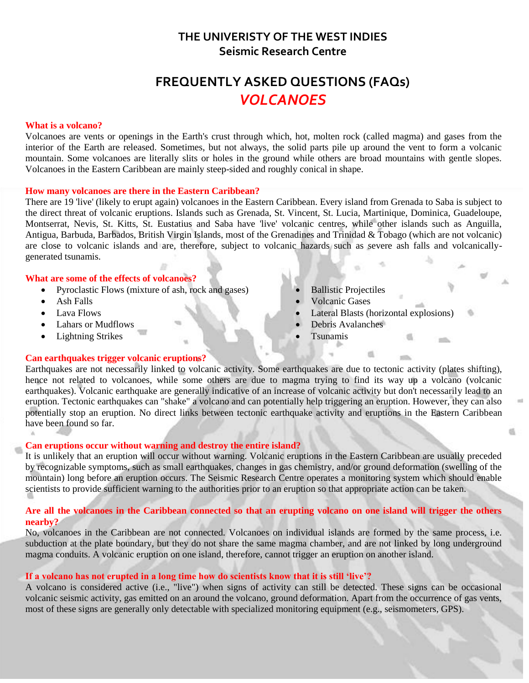## **THE UNIVERISTY OF THE WEST INDIES Seismic Research Centre**

# **FREQUENTLY ASKED QUESTIONS (FAQs)** *VOLCANOES*

#### **What is a volcano?**

Volcanoes are vents or openings in the Earth's crust through which, hot, molten rock (called magma) and gases from the interior of the Earth are released. Sometimes, but not always, the solid parts pile up around the vent to form a volcanic mountain. Some volcanoes are literally slits or holes in the ground while others are broad mountains with gentle slopes. Volcanoes in the Eastern Caribbean are mainly steep-sided and roughly conical in shape.

#### **How many volcanoes are there in the Eastern Caribbean?**

There are 19 'live' (likely to erupt again) volcanoes in the Eastern Caribbean. Every island from Grenada to Saba is subject to the direct threat of volcanic eruptions. Islands such as Grenada, St. Vincent, St. Lucia, Martinique, Dominica, Guadeloupe, Montserrat, Nevis, St. Kitts, St. Eustatius and Saba have 'live' volcanic centres, while other islands such as Anguilla, Antigua, Barbuda, Barbados, British Virgin Islands, most of the Grenadines and Trinidad & Tobago (which are not volcanic) are close to volcanic islands and are, therefore, subject to volcanic hazards such as severe ash falls and volcanicallygenerated tsunamis.

#### **What are some of the effects of volcanoes?**

- Pyroclastic Flows (mixture of ash, rock and gases)
- Ash Falls
- Lava Flows
- Lahars or Mudflows
- Lightning Strikes

#### **Can earthquakes trigger volcanic eruptions?**

- Ballistic Projectiles
- Volcanic Gases
- Lateral Blasts (horizontal explosions)

rti.

into.

- Debris Avalanches
- Tsunamis

Earthquakes are not necessarily linked to volcanic activity. Some earthquakes are due to tectonic activity (plates shifting), hence not related to volcanoes, while some others are due to magma trying to find its way up a volcano (volcanic earthquakes). Volcanic earthquake are generally indicative of an increase of volcanic activity but don't necessarily lead to an eruption. Tectonic earthquakes can "shake" a volcano and can potentially help triggering an eruption. However, they can also potentially stop an eruption. No direct links between tectonic earthquake activity and eruptions in the Eastern Caribbean have been found so far.

#### **Can eruptions occur without warning and destroy the entire island?**

It is unlikely that an eruption will occur without warning. Volcanic eruptions in the Eastern Caribbean are usually preceded by recognizable symptoms, such as small earthquakes, changes in gas chemistry, and/or ground deformation (swelling of the mountain) long before an eruption occurs. The Seismic Research Centre operates a monitoring system which should enable scientists to provide sufficient warning to the authorities prior to an eruption so that appropriate action can be taken.

#### **Are all the volcanoes in the Caribbean connected so that an erupting volcano on one island will trigger the others nearby?**

No, volcanoes in the Caribbean are not connected. Volcanoes on individual islands are formed by the same process, i.e. subduction at the plate boundary, but they do not share the same magma chamber, and are not linked by long underground magma conduits. A volcanic eruption on one island, therefore, cannot trigger an eruption on another island.

#### **If a volcano has not erupted in a long time how do scientists know that it is still 'live'?**

A volcano is considered active (i.e., "live") when signs of activity can still be detected. These signs can be occasional volcanic seismic activity, gas emitted on an around the volcano, ground deformation. Apart from the occurrence of gas vents, most of these signs are generally only detectable with specialized monitoring equipment (e.g., seismometers, GPS).